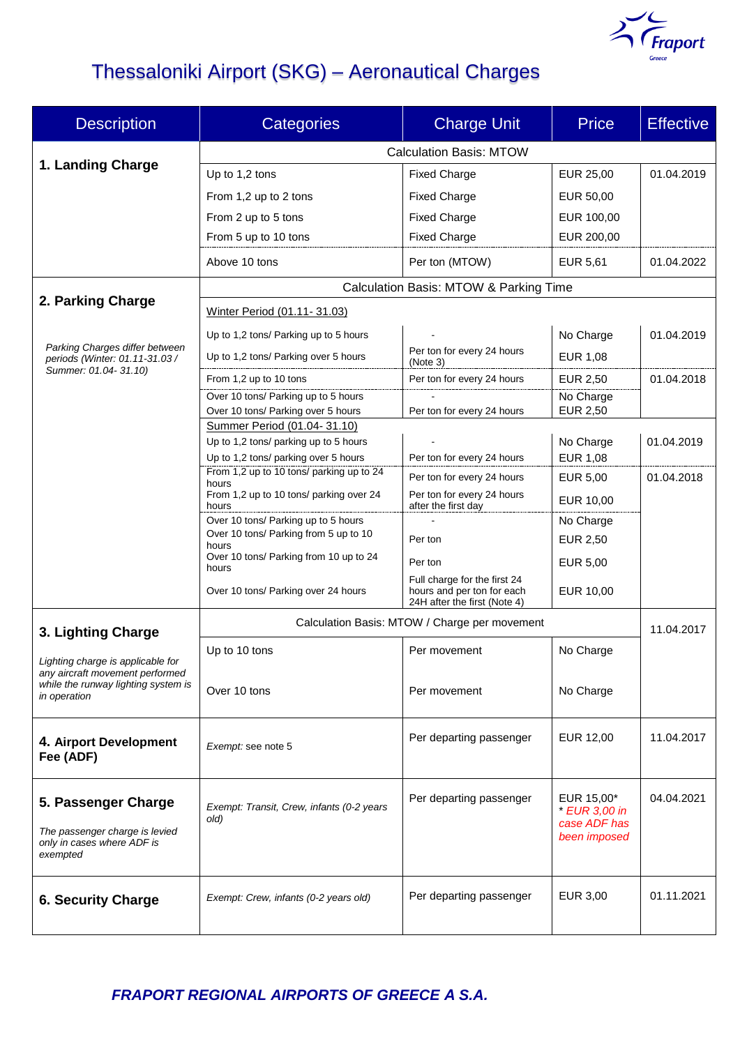

# Thessaloniki Airport (SKG) – Aeronautical Charges

| <b>Description</b>                                                                              | <b>Categories</b>                                                             | <b>Charge Unit</b>                                         | <b>Price</b>                                                | <b>Effective</b> |  |
|-------------------------------------------------------------------------------------------------|-------------------------------------------------------------------------------|------------------------------------------------------------|-------------------------------------------------------------|------------------|--|
|                                                                                                 |                                                                               | <b>Calculation Basis: MTOW</b>                             |                                                             |                  |  |
| 1. Landing Charge                                                                               | Up to 1,2 tons                                                                | <b>Fixed Charge</b>                                        | EUR 25,00                                                   | 01.04.2019       |  |
|                                                                                                 | From 1,2 up to 2 tons                                                         | <b>Fixed Charge</b>                                        | EUR 50,00                                                   |                  |  |
|                                                                                                 | From 2 up to 5 tons                                                           | <b>Fixed Charge</b>                                        | EUR 100,00                                                  |                  |  |
|                                                                                                 | From 5 up to 10 tons                                                          | <b>Fixed Charge</b>                                        | EUR 200,00                                                  |                  |  |
|                                                                                                 | Above 10 tons                                                                 | Per ton (MTOW)                                             | EUR 5,61                                                    | 01.04.2022       |  |
|                                                                                                 | Calculation Basis: MTOW & Parking Time                                        |                                                            |                                                             |                  |  |
| 2. Parking Charge                                                                               | Winter Period (01.11-31.03)                                                   |                                                            |                                                             |                  |  |
| Parking Charges differ between<br>periods (Winter: 01.11-31.03 /                                | Up to 1,2 tons/ Parking up to 5 hours                                         |                                                            | No Charge                                                   | 01.04.2019       |  |
|                                                                                                 | Up to 1,2 tons/ Parking over 5 hours                                          | Per ton for every 24 hours<br>(Note 3)                     | EUR 1,08                                                    |                  |  |
| Summer: 01.04-31.10)                                                                            | From 1,2 up to 10 tons                                                        | Per ton for every 24 hours                                 | EUR 2,50                                                    | 01.04.2018       |  |
|                                                                                                 | Over 10 tons/ Parking up to 5 hours                                           |                                                            | No Charge                                                   |                  |  |
|                                                                                                 | Over 10 tons/ Parking over 5 hours                                            | Per ton for every 24 hours                                 | EUR 2,50                                                    |                  |  |
|                                                                                                 | Summer Period (01.04-31.10)                                                   |                                                            |                                                             |                  |  |
|                                                                                                 | Up to 1,2 tons/ parking up to 5 hours<br>Up to 1,2 tons/ parking over 5 hours | Per ton for every 24 hours                                 | No Charge<br>EUR 1,08                                       | 01.04.2019       |  |
|                                                                                                 | From 1,2 up to 10 tons/ parking up to 24                                      | Per ton for every 24 hours                                 | <b>EUR 5,00</b>                                             | 01.04.2018       |  |
|                                                                                                 | hours<br>From 1,2 up to 10 tons/ parking over 24<br>hours                     | Per ton for every 24 hours<br>after the first day          | EUR 10,00                                                   |                  |  |
|                                                                                                 | Over 10 tons/ Parking up to 5 hours                                           |                                                            | No Charge                                                   |                  |  |
|                                                                                                 | Over 10 tons/ Parking from 5 up to 10                                         | Per ton                                                    | EUR 2,50                                                    |                  |  |
|                                                                                                 | hours<br>Over 10 tons/ Parking from 10 up to 24                               | Per ton                                                    | EUR 5,00                                                    |                  |  |
|                                                                                                 | hours                                                                         | Full charge for the first 24                               |                                                             |                  |  |
|                                                                                                 | Over 10 tons/ Parking over 24 hours                                           | hours and per ton for each<br>24H after the first (Note 4) | EUR 10,00                                                   |                  |  |
| 3. Lighting Charge                                                                              | Calculation Basis: MTOW / Charge per movement                                 |                                                            |                                                             | 11.04.2017       |  |
|                                                                                                 | Up to 10 tons                                                                 | Per movement                                               | No Charge                                                   |                  |  |
| Lighting charge is applicable for<br>any aircraft movement performed                            |                                                                               |                                                            |                                                             |                  |  |
| while the runway lighting system is<br>in operation                                             | Over 10 tons                                                                  | Per movement                                               | No Charge                                                   |                  |  |
|                                                                                                 |                                                                               |                                                            |                                                             |                  |  |
| 4. Airport Development<br>Fee (ADF)                                                             | Exempt: see note 5                                                            | Per departing passenger                                    | EUR 12,00                                                   | 11.04.2017       |  |
| 5. Passenger Charge<br>The passenger charge is levied<br>only in cases where ADF is<br>exempted | Exempt: Transit, Crew, infants (0-2 years<br>old)                             | Per departing passenger                                    | EUR 15,00*<br>* EUR 3,00 in<br>case ADF has<br>been imposed | 04.04.2021       |  |
| <b>6. Security Charge</b>                                                                       | Exempt: Crew, infants (0-2 years old)                                         | Per departing passenger                                    | EUR 3,00                                                    | 01.11.2021       |  |

*FRAPORT REGIONAL AIRPORTS OF GREECE Α S.A.*